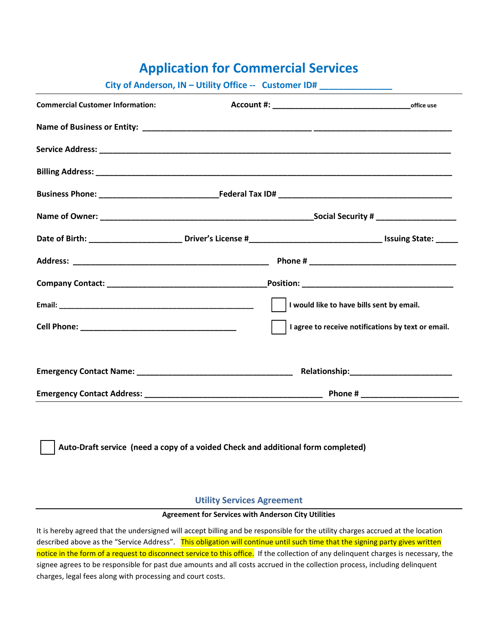## **Application for Commercial Services**

| City of Anderson, IN - Utility Office -- Customer ID# __________________________ |  |                                                                                                          |
|----------------------------------------------------------------------------------|--|----------------------------------------------------------------------------------------------------------|
| <b>Commercial Customer Information:</b>                                          |  |                                                                                                          |
|                                                                                  |  |                                                                                                          |
|                                                                                  |  |                                                                                                          |
|                                                                                  |  |                                                                                                          |
|                                                                                  |  |                                                                                                          |
|                                                                                  |  |                                                                                                          |
|                                                                                  |  |                                                                                                          |
|                                                                                  |  |                                                                                                          |
|                                                                                  |  |                                                                                                          |
|                                                                                  |  | I would like to have bills sent by email.                                                                |
|                                                                                  |  | I agree to receive notifications by text or email.                                                       |
|                                                                                  |  | Emergency Contact Name: Name: Name and Allen Manual Account of Relationship: Nelationship: Nelationship: |
|                                                                                  |  |                                                                                                          |
| Auto-Draft service (need a copy of a voided Check and additional form completed) |  |                                                                                                          |

## **Utility Services Agreement**

## **Agreement for Services with Anderson City Utilities**

It is hereby agreed that the undersigned will accept billing and be responsible for the utility charges accrued at the location described above as the "Service Address". This obligation will continue until such time that the signing party gives written notice in the form of a request to disconnect service to this office. If the collection of any delinquent charges is necessary, the signee agrees to be responsible for past due amounts and all costs accrued in the collection process, including delinquent charges, legal fees along with processing and court costs.